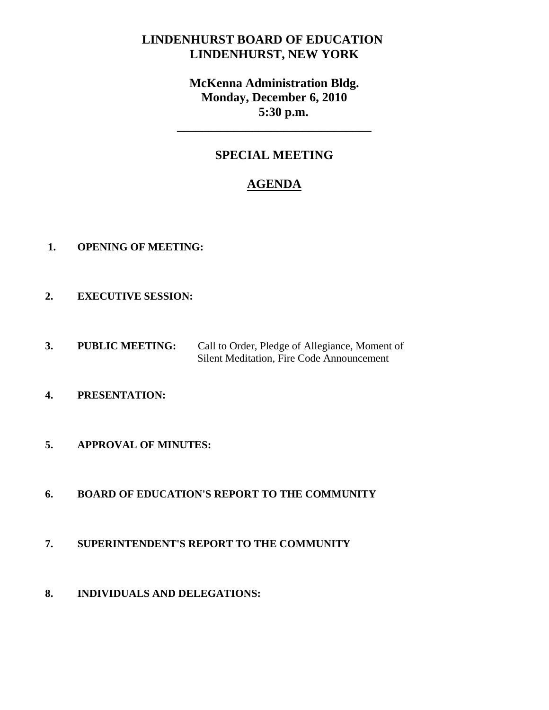## **LINDENHURST BOARD OF EDUCATION LINDENHURST, NEW YORK**

# **McKenna Administration Bldg. Monday, December 6, 2010 5:30 p.m.**

## **SPECIAL MEETING**

**\_\_\_\_\_\_\_\_\_\_\_\_\_\_\_\_\_\_\_\_\_\_\_\_\_\_\_\_\_\_\_** 

# **AGENDA**

- **1. OPENING OF MEETING:**
- **2. EXECUTIVE SESSION:**
- **3. PUBLIC MEETING:** Call to Order, Pledge of Allegiance, Moment of Silent Meditation, Fire Code Announcement
- **4. PRESENTATION:**
- **5. APPROVAL OF MINUTES:**
- **6. BOARD OF EDUCATION'S REPORT TO THE COMMUNITY**
- **7. SUPERINTENDENT'S REPORT TO THE COMMUNITY**
- **8. INDIVIDUALS AND DELEGATIONS:**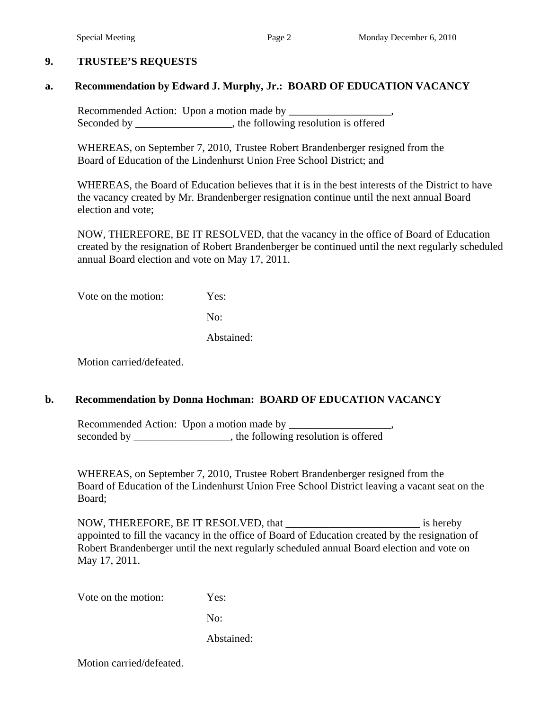#### **9. TRUSTEE'S REQUESTS**

#### **a. Recommendation by Edward J. Murphy, Jr.: BOARD OF EDUCATION VACANCY**

Recommended Action: Upon a motion made by Seconded by \_\_\_\_\_\_\_\_\_\_\_\_\_\_, the following resolution is offered

 WHEREAS, on September 7, 2010, Trustee Robert Brandenberger resigned from the Board of Education of the Lindenhurst Union Free School District; and

WHEREAS, the Board of Education believes that it is in the best interests of the District to have the vacancy created by Mr. Brandenberger resignation continue until the next annual Board election and vote;

NOW, THEREFORE, BE IT RESOLVED, that the vacancy in the office of Board of Education created by the resignation of Robert Brandenberger be continued until the next regularly scheduled annual Board election and vote on May 17, 2011.

Vote on the motion: Yes:

No:

Abstained:

Motion carried/defeated.

#### **b. Recommendation by Donna Hochman: BOARD OF EDUCATION VACANCY**

Recommended Action: Upon a motion made by \_\_\_\_\_\_\_\_\_\_\_\_\_\_\_\_\_\_\_, seconded by \_\_\_\_\_\_\_\_\_\_\_\_\_\_\_, the following resolution is offered

WHEREAS, on September 7, 2010, Trustee Robert Brandenberger resigned from the Board of Education of the Lindenhurst Union Free School District leaving a vacant seat on the Board;

NOW, THEREFORE, BE IT RESOLVED, that the same is hereby appointed to fill the vacancy in the office of Board of Education created by the resignation of Robert Brandenberger until the next regularly scheduled annual Board election and vote on May 17, 2011.

Vote on the motion: Yes:

No:

Abstained:

Motion carried/defeated.